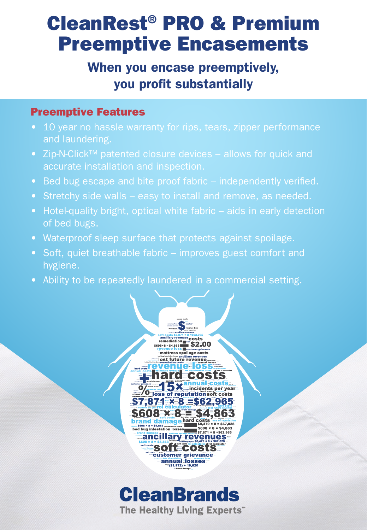## CleanRest® PRO & Premium Preemptive Encasements

### When you encase preemptively, you profit substantially

#### Preemptive Features

- 10 year no hassle warranty for rips, tears, zipper performance
- Zip-N-Click™ patented closure devices allows for quick and accurate installation and inspection.
- Bed bug escape and bite proof fabric independently verified.
- Stretchy side walls easy to install and remove, as needed.
- Hotel-quality bright, optical white fabric aids in early detection
- Waterproof sleep surface that protects against spoilage.
- Soft, quiet breathable fabric improves guest comfort and hygiene.
- Ability to be repeatedly laundered in a commercial setting.



# **CleanBrands**

The Healthy Living Experts"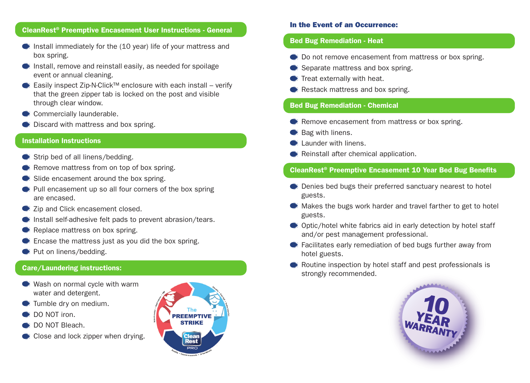#### CleanRest® Preemptive Encasement User Instructions - General

- $\bullet$  Install immediately for the (10 year) life of your mattress and box spring.
- $\bullet$  Install, remove and reinstall easily, as needed for spoilage event or annual cleaning.
- Easily inspect Zip-N-Click™ enclosure with each install verify that the green zipper tab is locked on the post and visible through clear window.
- Commercially launderable.
- $\bullet$  Discard with mattress and box spring.

#### Installation Instructions

- $\bullet$  Strip bed of all linens/bedding.
- Remove mattress from on top of box spring.
- Slide encasement around the box spring.
- Pull encasement up so all four corners of the box spring are encased.
- $\bullet$  Zip and Click encasement closed.
- Install self-adhesive felt pads to prevent abrasion/tears.
- Replace mattress on box spring.
- Encase the mattress just as you did the box spring.
- Put on linens/bedding.

#### Care/Laundering instructions:

- Wash on normal cycle with warm water and detergent.
- Tumble dry on medium.
- DO NOT iron.
- DO NOT Bleach.
- Close and lock zipper when drying.



#### In the Event of an Occurrence:

#### Bed Bug Remediation - Heat

- $\bullet$  Do not remove encasement from mattress or box spring.
- Separate mattress and box spring.
- Treat externally with heat.
- Restack mattress and box spring.

#### Bed Bug Remediation - Chemical

- **Remove encasement from mattress or box spring.**
- Bag with linens.
- **Example Launder with linens.**
- Reinstall after chemical application.

#### CleanRest® Preemptive Encasement 10 Year Bed Bug Benefits

- Denies bed bugs their preferred sanctuary nearest to hotel guests.
- Makes the bugs work harder and travel farther to get to hotel guests.
- Optic/hotel white fabrics aid in early detection by hotel staff and/or pest management professional.
- Facilitates early remediation of bed bugs further away from hotel guests.
- Routine inspection by hotel staff and pest professionals is strongly recommended.